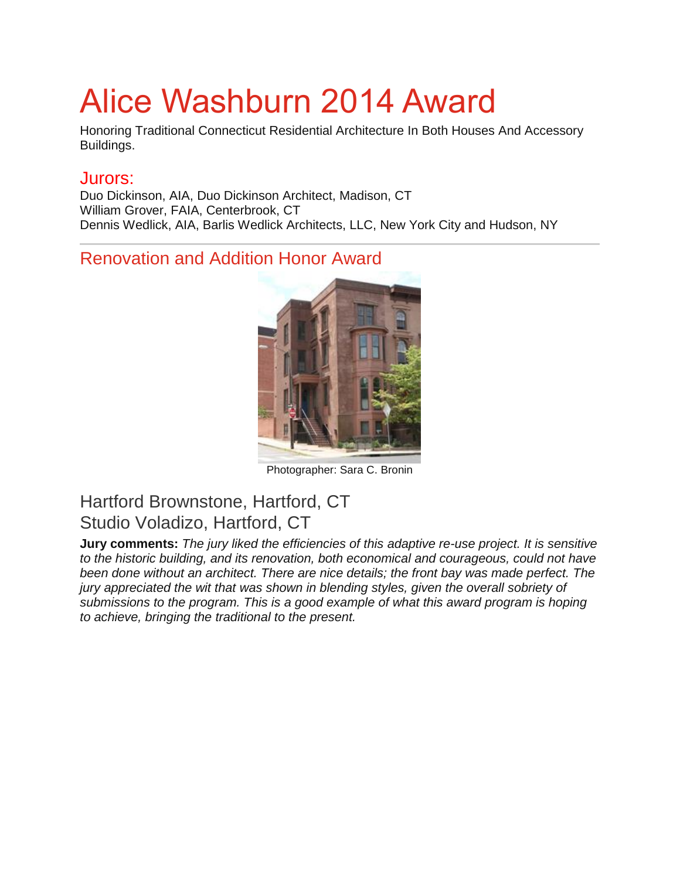# Alice Washburn 2014 Award

Honoring Traditional Connecticut Residential Architecture In Both Houses And Accessory Buildings.

#### Jurors:

Duo Dickinson, AIA, Duo Dickinson Architect, Madison, CT William Grover, FAIA, Centerbrook, CT Dennis Wedlick, AIA, Barlis Wedlick Architects, LLC, New York City and Hudson, NY

### Renovation and Addition Honor Award



Photographer: Sara C. Bronin

# Hartford Brownstone, Hartford, CT Studio Voladizo, Hartford, CT

**Jury comments:** *The jury liked the efficiencies of this adaptive re-use project. It is sensitive to the historic building, and its renovation, both economical and courageous, could not have been done without an architect. There are nice details; the front bay was made perfect. The jury appreciated the wit that was shown in blending styles, given the overall sobriety of submissions to the program. This is a good example of what this award program is hoping to achieve, bringing the traditional to the present.*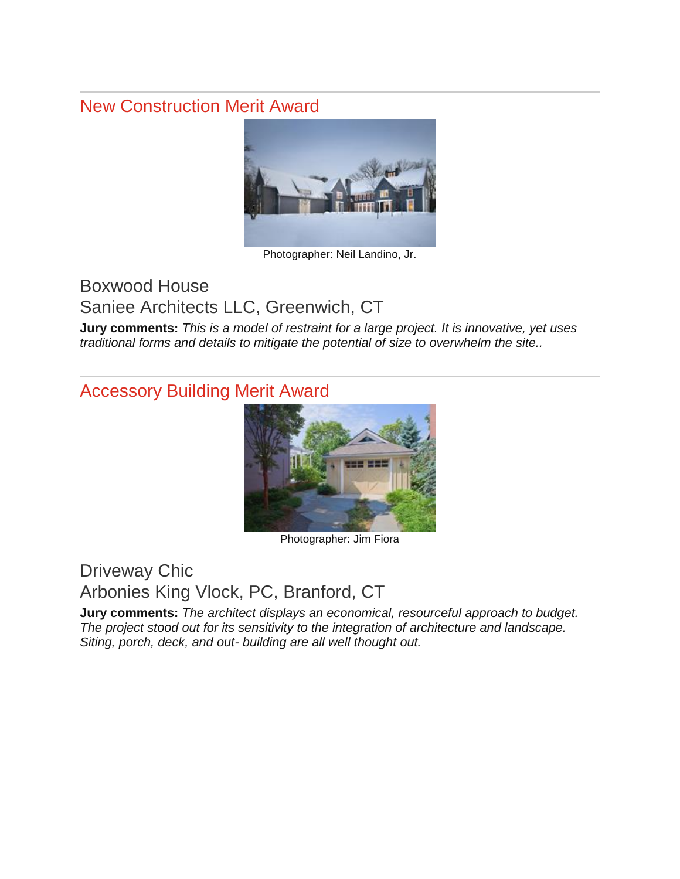#### New Construction Merit Award



Photographer: Neil Landino, Jr.

## Boxwood House

Saniee Architects LLC, Greenwich, CT

**Jury comments:** *This is a model of restraint for a large project. It is innovative, yet uses traditional forms and details to mitigate the potential of size to overwhelm the site..*

#### Accessory Building Merit Award



Photographer: Jim Fiora

#### Driveway Chic Arbonies King Vlock, PC, Branford, CT

**Jury comments:** *The architect displays an economical, resourceful approach to budget. The project stood out for its sensitivity to the integration of architecture and landscape. Siting, porch, deck, and out- building are all well thought out.*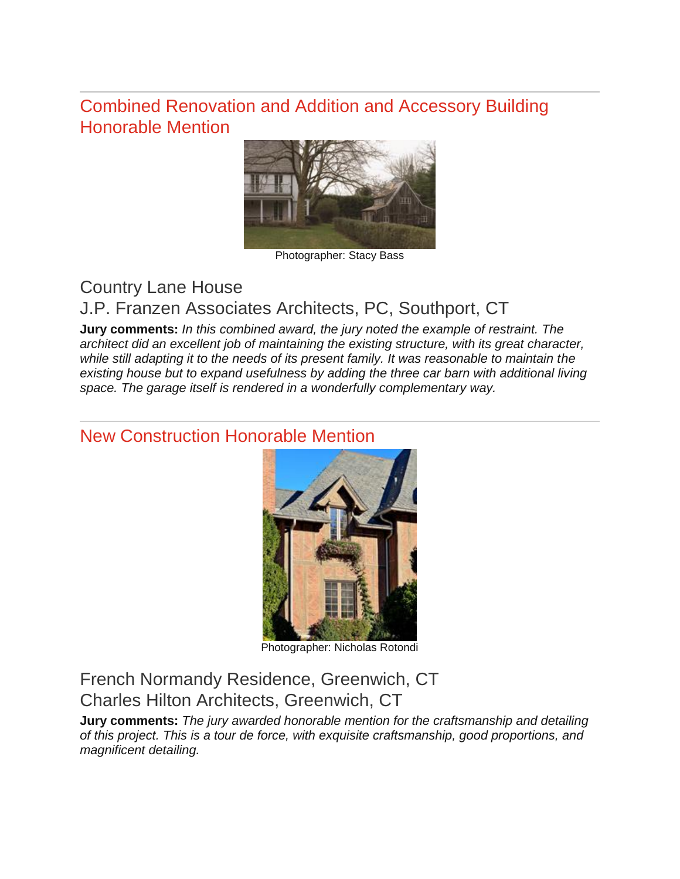#### Combined Renovation and Addition and Accessory Building Honorable Mention



Photographer: Stacy Bass

# Country Lane House

# J.P. Franzen Associates Architects, PC, Southport, CT

**Jury comments:** *In this combined award, the jury noted the example of restraint. The architect did an excellent job of maintaining the existing structure, with its great character, while still adapting it to the needs of its present family. It was reasonable to maintain the existing house but to expand usefulness by adding the three car barn with additional living space. The garage itself is rendered in a wonderfully complementary way.*

#### New Construction Honorable Mention



Photographer: Nicholas Rotondi

French Normandy Residence, Greenwich, CT Charles Hilton Architects, Greenwich, CT

**Jury comments:** *The jury awarded honorable mention for the craftsmanship and detailing of this project. This is a tour de force, with exquisite craftsmanship, good proportions, and magnificent detailing.*